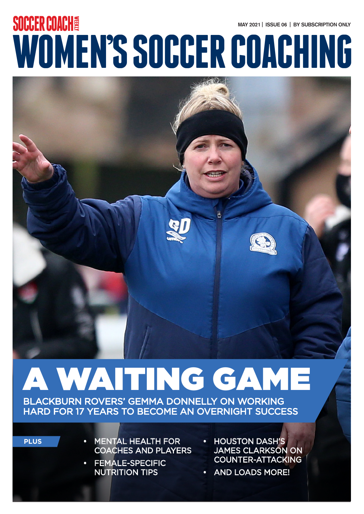### **MAY 2021 | ISSUE 06 | BY SUBSCRIPTION ONLY WOMEN'S SOCCER COACHING SOCCER COACHY**



# A WAITING GAME

BLACKBURN ROVERS' GEMMA DONNELLY ON WORKING HARD FOR 17 YEARS TO BECOME AN OVERNIGHT SUCCESS

**PLUS**

- **MENTAL HEALTH FOR** COACHES AND PLAYERS
- FEMALE-SPECIFIC NUTRITION TIPS
- HOUSTON DASH'S JAMES CLARKSON ON COUNTER-ATTACKING
- AND LOADS MORE!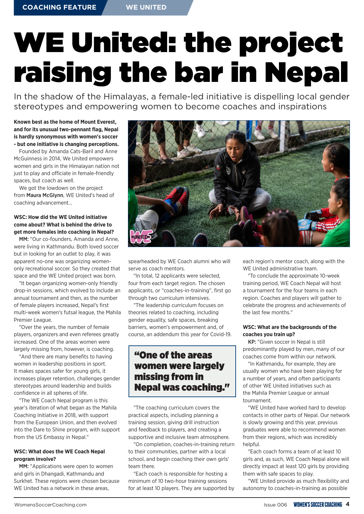## WE United: the project raising the bar in Nepal

In the shadow of the Himalayas, a female-led initiative is dispelling local gender stereotypes and empowering women to become coaches and inspirations

**Known best as the home of Mount Everest, and for its unusual two-pennant flag, Nepal is hardly synonymous with women's soccer - but one initiative is changing perceptions.**

Founded by Amanda Cats-Baril and Anne McGuinness in 2014, We United empowers women and girls in the Himalayan nation not just to play and officiate in female-friendly spaces, but coach as well.

We got the lowdown on the project from Maura McGlynn, WE United's head of coaching advancement...

#### **WSC: How did the WE United initiative come about? What is behind the drive to get more females into coaching in Nepal?**

MM: "Our co-founders, Amanda and Anne, were living in Kathmandu. Both loved soccer but in looking for an outlet to play, it was apparent no-one was organizing womenonly recreational soccer. So they created that space and the WE United project was born.

"It began organizing women-only friendly drop-in sessions, which evolved to include an annual tournament and then, as the number of female players increased, Nepal's first multi-week women's futsal league, the Mahila Premier League.

"Over the years, the number of female players, organizers and even referees greatly increased. One of the areas women were largely missing from, however, is coaching.

"And there are many benefits to having women in leadership positions in sport. It makes spaces safer for young girls, it increases player retention, challenges gender stereotypes around leadership and builds confidence in all spheres of life.

"The WE Coach Nepal program is this year's iteration of what began as the Mahila Coaching Initiative in 2018, with support from the European Union, and then evolved into the Dare to Shine program, with support from the US Embassy in Nepal."

#### **WSC: What does the WE Coach Nepal program involve?**

MM: "Applications were open to women and girls in Dhangadi, Kathmandu and Surkhet. These regions were chosen because WE United has a network in these areas.



spearheaded by WE Coach alumni who will serve as coach mentors.

"In total, 12 applicants were selected, four from each target region. The chosen applicants, or "coaches-in-training", first go through two curriculum intensives.

"The leadership curriculum focuses on theories related to coaching, including gender equality, safe spaces, breaking barriers, women's empowerment and, of course, an addendum this year for Covid-19.

#### "One of the areas women were largely missing from in Nepal was coaching."

"The coaching curriculum covers the practical aspects, including planning a training session, giving drill instruction and feedback to players, and creating a supportive and inclusive team atmosphere.

"On completion, coaches-in-training return to their communities, partner with a local school, and begin coaching their own girls' team there.

"Each coach is responsible for hosting a minimum of 10 two-hour training sessions for at least 10 players. They are supported by each region's mentor coach, along with the WE United administrative team.

"To conclude the approximate 10-week training period, WE Coach Nepal will host a tournament for the four teams in each region. Coaches and players will gather to celebrate the progress and achievements of the last few months."

#### **WSC: What are the backgrounds of the coaches you train up?**

KP: "Given soccer in Nepal is still predominantly played by men, many of our coaches come from within our network.

"In Kathmandu, for example, they are usually women who have been playing for a number of years, and often participants of other WE United initiatives such as the Mahila Premier League or annual tournament.

"WE United have worked hard to develop contacts in other parts of Nepal. Our network is slowly growing and this year, previous graduates were able to recommend women from their regions, which was incredibly helpful.

"Each coach forms a team of at least 10 girls and, as such, WE Coach Nepal alone will directly impact at least 120 girls by providing them with safe spaces to play.

"WE United provide as much flexibility and autonomy to coaches-in-training as possible